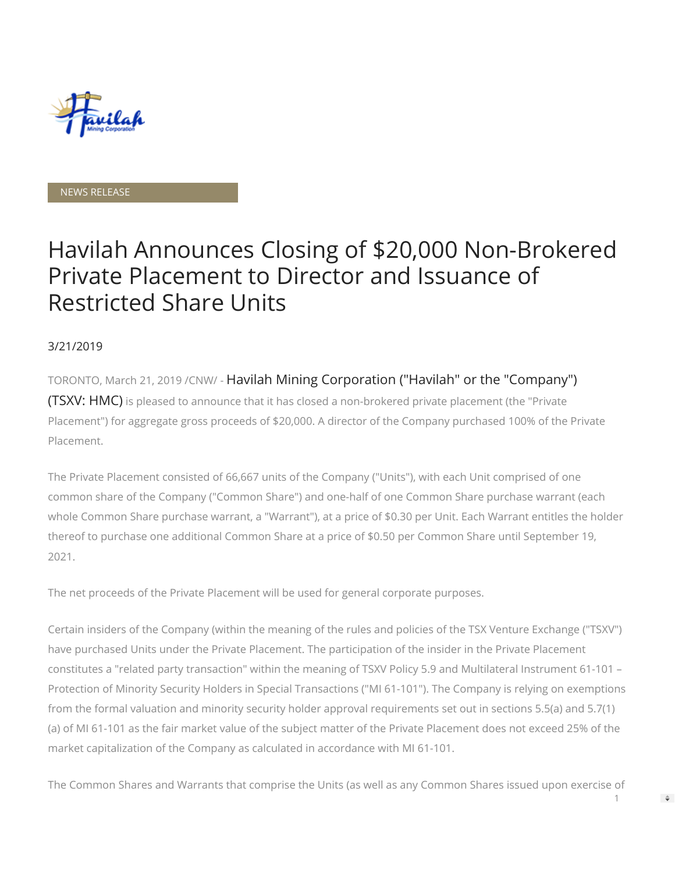

#### NEWS RELEASE

# Havilah Announces Closing of \$20,000 Non-Brokered Private Placement to Director and Issuance of Restricted Share Units

### 3/21/2019

TORONTO, March 21, 2019 /CNW/ - Havilah Mining Corporation ("Havilah" or the "Company") (TSXV: HMC) is pleased to announce that it has closed a non-brokered private placement (the "Private Placement") for aggregate gross proceeds of \$20,000. A director of the Company purchased 100% of the Private Placement.

The Private Placement consisted of 66,667 units of the Company ("Units"), with each Unit comprised of one common share of the Company ("Common Share") and one-half of one Common Share purchase warrant (each whole Common Share purchase warrant, a "Warrant"), at a price of \$0.30 per Unit. Each Warrant entitles the holder thereof to purchase one additional Common Share at a price of \$0.50 per Common Share until September 19, 2021.

The net proceeds of the Private Placement will be used for general corporate purposes.

Certain insiders of the Company (within the meaning of the rules and policies of the TSX Venture Exchange ("TSXV") have purchased Units under the Private Placement. The participation of the insider in the Private Placement constitutes a "related party transaction" within the meaning of TSXV Policy 5.9 and Multilateral Instrument 61-101 – Protection of Minority Security Holders in Special Transactions ("MI 61-101"). The Company is relying on exemptions from the formal valuation and minority security holder approval requirements set out in sections 5.5(a) and 5.7(1) (a) of MI 61-101 as the fair market value of the subject matter of the Private Placement does not exceed 25% of the market capitalization of the Company as calculated in accordance with MI 61-101.

The Common Shares and Warrants that comprise the Units (as well as any Common Shares issued upon exercise of

 $\Rightarrow$ 

1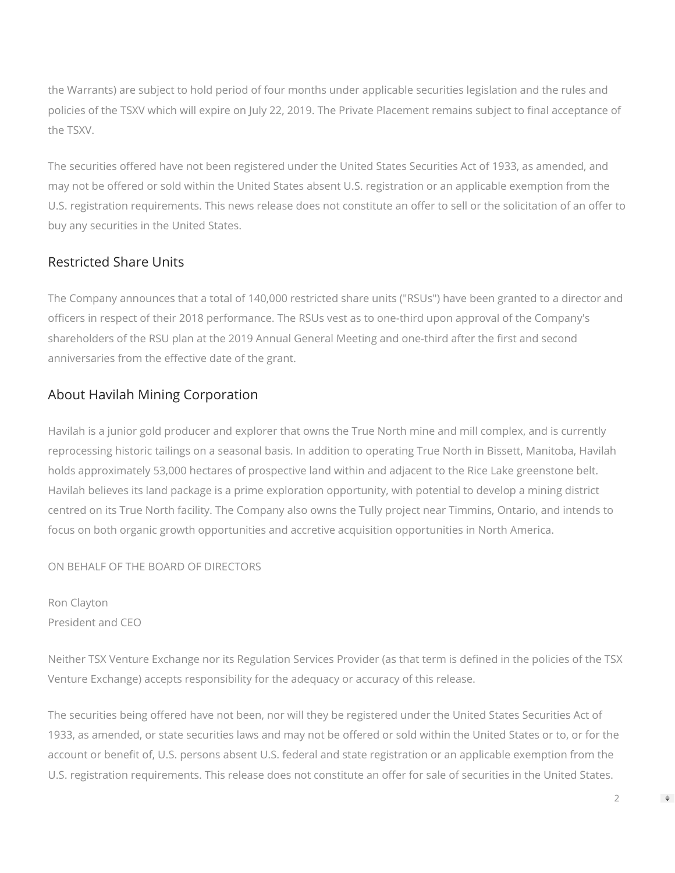the Warrants) are subject to hold period of four months under applicable securities legislation and the rules and policies of the TSXV which will expire on July 22, 2019. The Private Placement remains subject to final acceptance of the TSXV.

The securities offered have not been registered under the United States Securities Act of 1933, as amended, and may not be offered or sold within the United States absent U.S. registration or an applicable exemption from the U.S. registration requirements. This news release does not constitute an offer to sell or the solicitation of an offer to buy any securities in the United States.

## Restricted Share Units

The Company announces that a total of 140,000 restricted share units ("RSUs") have been granted to a director and officers in respect of their 2018 performance. The RSUs vest as to one-third upon approval of the Company's shareholders of the RSU plan at the 2019 Annual General Meeting and one-third after the first and second anniversaries from the effective date of the grant.

## About Havilah Mining Corporation

Havilah is a junior gold producer and explorer that owns the True North mine and mill complex, and is currently reprocessing historic tailings on a seasonal basis. In addition to operating True North in Bissett, Manitoba, Havilah holds approximately 53,000 hectares of prospective land within and adjacent to the Rice Lake greenstone belt. Havilah believes its land package is a prime exploration opportunity, with potential to develop a mining district centred on its True North facility. The Company also owns the Tully project near Timmins, Ontario, and intends to focus on both organic growth opportunities and accretive acquisition opportunities in North America.

ON BEHALF OF THE BOARD OF DIRECTORS

Ron Clayton President and CEO

Neither TSX Venture Exchange nor its Regulation Services Provider (as that term is defined in the policies of the TSX Venture Exchange) accepts responsibility for the adequacy or accuracy of this release.

The securities being offered have not been, nor will they be registered under the United States Securities Act of 1933, as amended, or state securities laws and may not be offered or sold within the United States or to, or for the account or benefit of, U.S. persons absent U.S. federal and state registration or an applicable exemption from the U.S. registration requirements. This release does not constitute an offer for sale of securities in the United States.

 $\mathfrak{D}$ 

 $\Rightarrow$